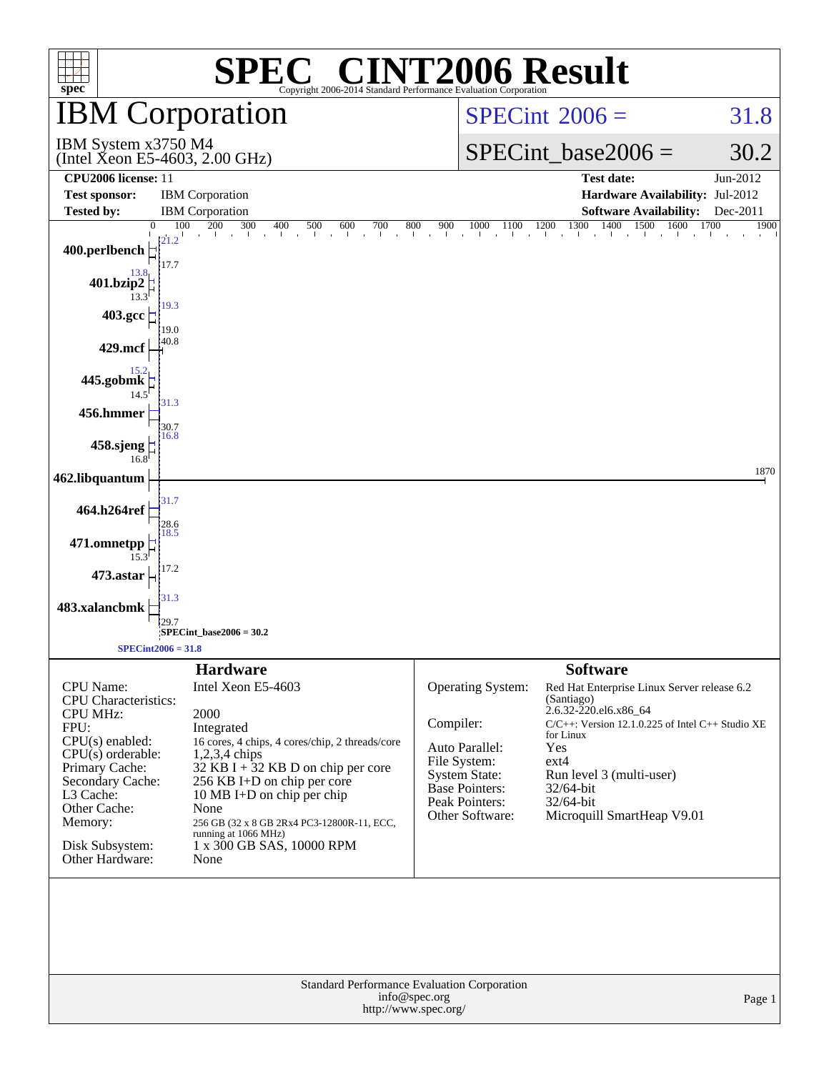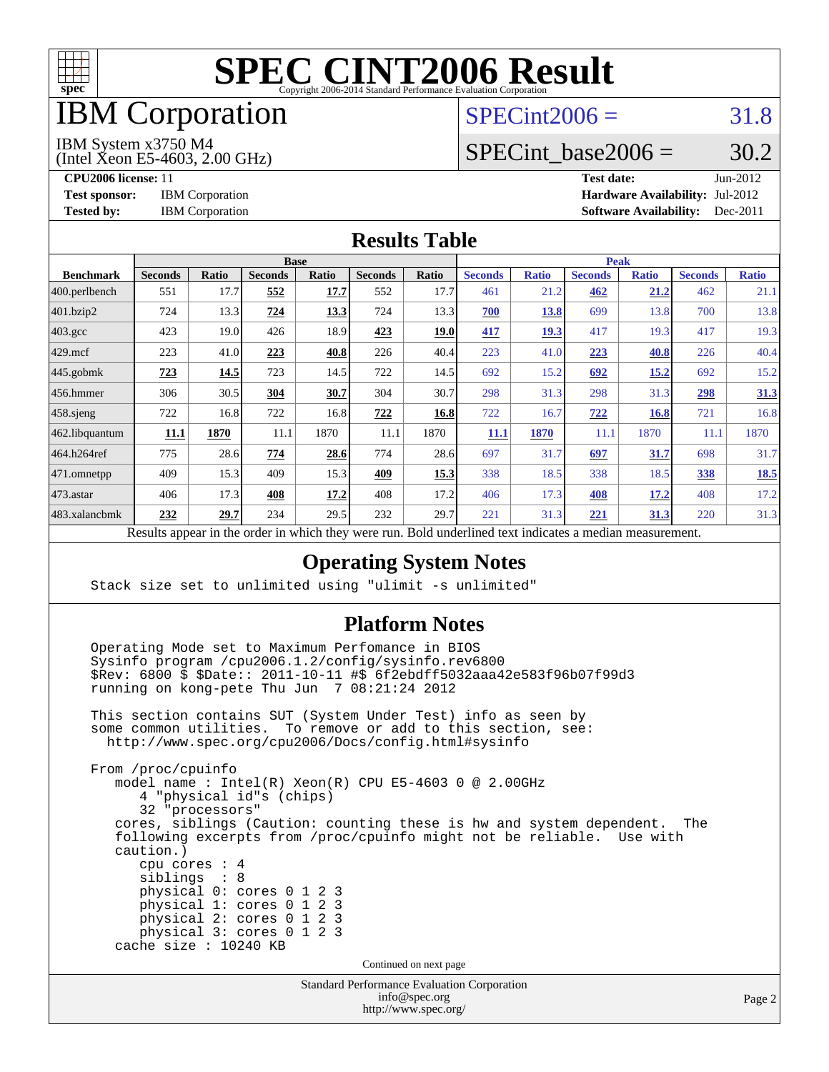

# IBM Corporation

# $SPECint2006 = 31.8$  $SPECint2006 = 31.8$

#### IBM System x3750 M4

(Intel Xeon E5-4603, 2.00 GHz)

SPECint base2006 =  $30.2$ 

**[CPU2006 license:](http://www.spec.org/auto/cpu2006/Docs/result-fields.html#CPU2006license)** 11 **[Test date:](http://www.spec.org/auto/cpu2006/Docs/result-fields.html#Testdate)** Jun-2012 **[Test sponsor:](http://www.spec.org/auto/cpu2006/Docs/result-fields.html#Testsponsor)** IBM Corporation **[Hardware Availability:](http://www.spec.org/auto/cpu2006/Docs/result-fields.html#HardwareAvailability)** Jul-2012 **[Tested by:](http://www.spec.org/auto/cpu2006/Docs/result-fields.html#Testedby)** IBM Corporation **[Software Availability:](http://www.spec.org/auto/cpu2006/Docs/result-fields.html#SoftwareAvailability)** Dec-2011

### **[Results Table](http://www.spec.org/auto/cpu2006/Docs/result-fields.html#ResultsTable)**

|                                                                                                                                                                                                                                                                                                                                                                                                 | <b>Base</b>    |       |                |       |                |             |                | <b>Peak</b>  |                |              |                |              |  |
|-------------------------------------------------------------------------------------------------------------------------------------------------------------------------------------------------------------------------------------------------------------------------------------------------------------------------------------------------------------------------------------------------|----------------|-------|----------------|-------|----------------|-------------|----------------|--------------|----------------|--------------|----------------|--------------|--|
| <b>Benchmark</b>                                                                                                                                                                                                                                                                                                                                                                                | <b>Seconds</b> | Ratio | <b>Seconds</b> | Ratio | <b>Seconds</b> | Ratio       | <b>Seconds</b> | <b>Ratio</b> | <b>Seconds</b> | <b>Ratio</b> | <b>Seconds</b> | <b>Ratio</b> |  |
| $ 400.\text{perlbench}$                                                                                                                                                                                                                                                                                                                                                                         | 551            | 17.7  | 552            | 17.7  | 552            | 17.7        | 461            | 21.2         | 462            | 21.2         | 462            | 21.1         |  |
| 401.bzip2                                                                                                                                                                                                                                                                                                                                                                                       | 724            | 13.3  | 724            | 13.3  | 724            | 13.3        | 700            | 13.8         | 699            | 13.8         | 700            | 13.8         |  |
| $403.\text{gcc}$                                                                                                                                                                                                                                                                                                                                                                                | 423            | 19.0  | 426            | 18.9  | 423            | <u>19.0</u> | <u>417</u>     | <u>19.3</u>  | 417            | 19.3         | 417            | 19.3         |  |
| $429$ .mcf                                                                                                                                                                                                                                                                                                                                                                                      | 223            | 41.0  | 223            | 40.8  | 226            | 40.4        | 223            | 41.0         | 223            | 40.8         | 226            | 40.4         |  |
| $445$ .gobmk                                                                                                                                                                                                                                                                                                                                                                                    | 723            | 14.5  | 723            | 14.5  | 722            | 14.5        | 692            | 15.2         | 692            | 15.2         | 692            | 15.2         |  |
| 456.hmmer                                                                                                                                                                                                                                                                                                                                                                                       | 306            | 30.5  | 304            | 30.7  | 304            | 30.7        | 298            | 31.3         | 298            | 31.3         | 298            | 31.3         |  |
| $458$ .sjeng                                                                                                                                                                                                                                                                                                                                                                                    | 722            | 16.8  | 722            | 16.8  | 722            | 16.8        | 722            | 16.7         | 722            | 16.8         | 721            | 16.8         |  |
| 462.libquantum                                                                                                                                                                                                                                                                                                                                                                                  | 11.1           | 1870  | 11.1           | 1870  | 11.1           | 1870        | 11.1           | 1870         | 11.1           | 1870         | 11.1           | 1870         |  |
| 464.h264ref                                                                                                                                                                                                                                                                                                                                                                                     | 775            | 28.6  | 774            | 28.6  | 774            | 28.6        | 697            | 31.7         | 697            | 31.7         | 698            | 31.7         |  |
| 471.omnetpp                                                                                                                                                                                                                                                                                                                                                                                     | 409            | 15.3  | 409            | 15.3  | 409            | 15.3        | 338            | 18.5         | 338            | 18.5         | 338            | <b>18.5</b>  |  |
| $473$ . astar                                                                                                                                                                                                                                                                                                                                                                                   | 406            | 17.3  | 408            | 17.2  | 408            | 17.2        | 406            | 17.3         | 408            | 17.2         | 408            | 17.2         |  |
| 483.xalancbmk                                                                                                                                                                                                                                                                                                                                                                                   | 232            | 29.7  | 234            | 29.5  | 232            | 29.7        | 221            | 31.3         | 221            | <u>31.3</u>  | 220            | 31.3         |  |
| $2.12 \pm 0.22$<br>$\mathbf{D} = \mathbf{1}$<br>$\mathbf{t} = \mathbf{t}$<br>$\mathbf{D}$ and $\mathbf{A}$ and $\mathbf{A}$ and $\mathbf{A}$ and $\mathbf{A}$ and $\mathbf{A}$ and $\mathbf{A}$ and $\mathbf{A}$ and $\mathbf{A}$ and $\mathbf{A}$ and $\mathbf{A}$ and $\mathbf{A}$ and $\mathbf{A}$ and $\mathbf{A}$ and $\mathbf{A}$ and $\mathbf{A}$ and $\mathbf{A}$ and<br>$-11 - 11 - 1$ |                |       |                |       |                |             |                |              |                |              |                |              |  |

Results appear in the [order in which they were run.](http://www.spec.org/auto/cpu2006/Docs/result-fields.html#RunOrder) Bold underlined text [indicates a median measurement.](http://www.spec.org/auto/cpu2006/Docs/result-fields.html#Median)

### **[Operating System Notes](http://www.spec.org/auto/cpu2006/Docs/result-fields.html#OperatingSystemNotes)**

Stack size set to unlimited using "ulimit -s unlimited"

cache size : 10240 KB

### **[Platform Notes](http://www.spec.org/auto/cpu2006/Docs/result-fields.html#PlatformNotes)**

 Operating Mode set to Maximum Perfomance in BIOS Sysinfo program /cpu2006.1.2/config/sysinfo.rev6800 \$Rev: 6800 \$ \$Date:: 2011-10-11 #\$ 6f2ebdff5032aaa42e583f96b07f99d3 running on kong-pete Thu Jun 7 08:21:24 2012

 This section contains SUT (System Under Test) info as seen by some common utilities. To remove or add to this section, see: <http://www.spec.org/cpu2006/Docs/config.html#sysinfo>

 From /proc/cpuinfo model name : Intel(R) Xeon(R) CPU E5-4603 0 @ 2.00GHz 4 "physical id"s (chips) 32 "processors" cores, siblings (Caution: counting these is hw and system dependent. The following excerpts from /proc/cpuinfo might not be reliable. Use with caution.) cpu cores : 4 siblings : 8 physical 0: cores 0 1 2 3 physical 1: cores 0 1 2 3 physical 2: cores 0 1 2 3 physical 3: cores 0 1 2 3

Continued on next page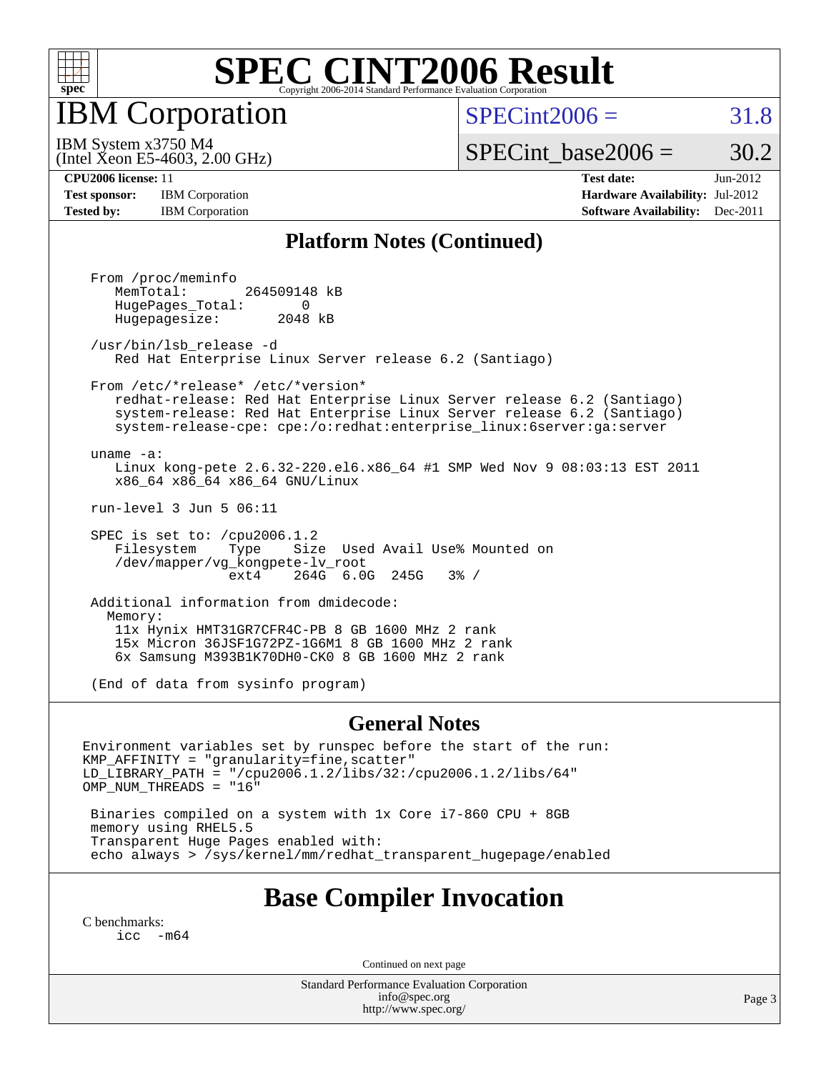

IBM Corporation

 $SPECint2006 = 31.8$  $SPECint2006 = 31.8$ 

(Intel Xeon E5-4603, 2.00 GHz) IBM System x3750 M4

SPECint base2006 =  $30.2$ 

**[Test sponsor:](http://www.spec.org/auto/cpu2006/Docs/result-fields.html#Testsponsor)** IBM Corporation **[Hardware Availability:](http://www.spec.org/auto/cpu2006/Docs/result-fields.html#HardwareAvailability)** Jul-2012

**[CPU2006 license:](http://www.spec.org/auto/cpu2006/Docs/result-fields.html#CPU2006license)** 11 **[Test date:](http://www.spec.org/auto/cpu2006/Docs/result-fields.html#Testdate)** Jun-2012 **[Tested by:](http://www.spec.org/auto/cpu2006/Docs/result-fields.html#Testedby)** IBM Corporation **[Software Availability:](http://www.spec.org/auto/cpu2006/Docs/result-fields.html#SoftwareAvailability)** Dec-2011

### **[Platform Notes \(Continued\)](http://www.spec.org/auto/cpu2006/Docs/result-fields.html#PlatformNotes)**

 From /proc/meminfo MemTotal: 264509148 kB HugePages\_Total: 0<br>Hugepagesize: 2048 kB Hugepagesize: /usr/bin/lsb\_release -d Red Hat Enterprise Linux Server release 6.2 (Santiago) From /etc/\*release\* /etc/\*version\* redhat-release: Red Hat Enterprise Linux Server release 6.2 (Santiago) system-release: Red Hat Enterprise Linux Server release 6.2 (Santiago) system-release-cpe: cpe:/o:redhat:enterprise\_linux:6server:ga:server uname -a: Linux kong-pete 2.6.32-220.el6.x86\_64 #1 SMP Wed Nov 9 08:03:13 EST 2011 x86\_64 x86\_64 x86\_64 GNU/Linux run-level 3 Jun 5 06:11 SPEC is set to: /cpu2006.1.2 Filesystem Type Size Used Avail Use% Mounted on

 /dev/mapper/vg\_kongpete-lv\_root ext4 264G 6.0G 245G 3% / Additional information from dmidecode:

 Memory: 11x Hynix HMT31GR7CFR4C-PB 8 GB 1600 MHz 2 rank 15x Micron 36JSF1G72PZ-1G6M1 8 GB 1600 MHz 2 rank 6x Samsung M393B1K70DH0-CK0 8 GB 1600 MHz 2 rank

(End of data from sysinfo program)

#### **[General Notes](http://www.spec.org/auto/cpu2006/Docs/result-fields.html#GeneralNotes)**

Environment variables set by runspec before the start of the run: KMP\_AFFINITY = "granularity=fine,scatter" LD\_LIBRARY\_PATH = "/cpu2006.1.2/libs/32:/cpu2006.1.2/libs/64" OMP\_NUM\_THREADS = "16"

 Binaries compiled on a system with 1x Core i7-860 CPU + 8GB memory using RHEL5.5 Transparent Huge Pages enabled with: echo always > /sys/kernel/mm/redhat\_transparent\_hugepage/enabled

### **[Base Compiler Invocation](http://www.spec.org/auto/cpu2006/Docs/result-fields.html#BaseCompilerInvocation)**

[C benchmarks](http://www.spec.org/auto/cpu2006/Docs/result-fields.html#Cbenchmarks): [icc -m64](http://www.spec.org/cpu2006/results/res2012q3/cpu2006-20120716-23712.flags.html#user_CCbase_intel_icc_64bit_f346026e86af2a669e726fe758c88044)

Continued on next page

Standard Performance Evaluation Corporation [info@spec.org](mailto:info@spec.org) <http://www.spec.org/>

Page 3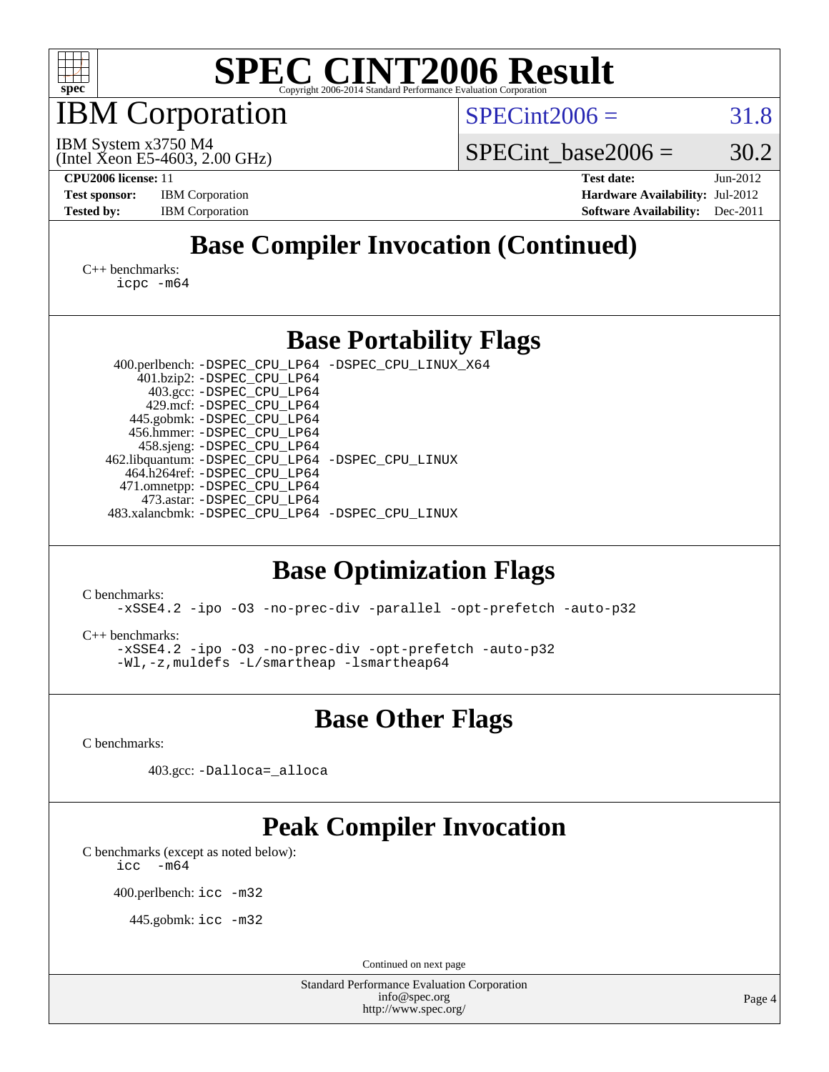

IBM Corporation

 $SPECint2006 = 31.8$  $SPECint2006 = 31.8$ 

(Intel Xeon E5-4603, 2.00 GHz) IBM System x3750 M4

SPECint base2006 =  $30.2$ 

**[CPU2006 license:](http://www.spec.org/auto/cpu2006/Docs/result-fields.html#CPU2006license)** 11 **[Test date:](http://www.spec.org/auto/cpu2006/Docs/result-fields.html#Testdate)** Jun-2012 **[Test sponsor:](http://www.spec.org/auto/cpu2006/Docs/result-fields.html#Testsponsor)** IBM Corporation **[Hardware Availability:](http://www.spec.org/auto/cpu2006/Docs/result-fields.html#HardwareAvailability)** Jul-2012 **[Tested by:](http://www.spec.org/auto/cpu2006/Docs/result-fields.html#Testedby)** IBM Corporation **[Software Availability:](http://www.spec.org/auto/cpu2006/Docs/result-fields.html#SoftwareAvailability)** Dec-2011

# **[Base Compiler Invocation \(Continued\)](http://www.spec.org/auto/cpu2006/Docs/result-fields.html#BaseCompilerInvocation)**

[C++ benchmarks:](http://www.spec.org/auto/cpu2006/Docs/result-fields.html#CXXbenchmarks) [icpc -m64](http://www.spec.org/cpu2006/results/res2012q3/cpu2006-20120716-23712.flags.html#user_CXXbase_intel_icpc_64bit_fc66a5337ce925472a5c54ad6a0de310)

### **[Base Portability Flags](http://www.spec.org/auto/cpu2006/Docs/result-fields.html#BasePortabilityFlags)**

 400.perlbench: [-DSPEC\\_CPU\\_LP64](http://www.spec.org/cpu2006/results/res2012q3/cpu2006-20120716-23712.flags.html#b400.perlbench_basePORTABILITY_DSPEC_CPU_LP64) [-DSPEC\\_CPU\\_LINUX\\_X64](http://www.spec.org/cpu2006/results/res2012q3/cpu2006-20120716-23712.flags.html#b400.perlbench_baseCPORTABILITY_DSPEC_CPU_LINUX_X64) 401.bzip2: [-DSPEC\\_CPU\\_LP64](http://www.spec.org/cpu2006/results/res2012q3/cpu2006-20120716-23712.flags.html#suite_basePORTABILITY401_bzip2_DSPEC_CPU_LP64) 403.gcc: [-DSPEC\\_CPU\\_LP64](http://www.spec.org/cpu2006/results/res2012q3/cpu2006-20120716-23712.flags.html#suite_basePORTABILITY403_gcc_DSPEC_CPU_LP64) 429.mcf: [-DSPEC\\_CPU\\_LP64](http://www.spec.org/cpu2006/results/res2012q3/cpu2006-20120716-23712.flags.html#suite_basePORTABILITY429_mcf_DSPEC_CPU_LP64) 445.gobmk: [-DSPEC\\_CPU\\_LP64](http://www.spec.org/cpu2006/results/res2012q3/cpu2006-20120716-23712.flags.html#suite_basePORTABILITY445_gobmk_DSPEC_CPU_LP64) 456.hmmer: [-DSPEC\\_CPU\\_LP64](http://www.spec.org/cpu2006/results/res2012q3/cpu2006-20120716-23712.flags.html#suite_basePORTABILITY456_hmmer_DSPEC_CPU_LP64) 458.sjeng: [-DSPEC\\_CPU\\_LP64](http://www.spec.org/cpu2006/results/res2012q3/cpu2006-20120716-23712.flags.html#suite_basePORTABILITY458_sjeng_DSPEC_CPU_LP64) 462.libquantum: [-DSPEC\\_CPU\\_LP64](http://www.spec.org/cpu2006/results/res2012q3/cpu2006-20120716-23712.flags.html#suite_basePORTABILITY462_libquantum_DSPEC_CPU_LP64) [-DSPEC\\_CPU\\_LINUX](http://www.spec.org/cpu2006/results/res2012q3/cpu2006-20120716-23712.flags.html#b462.libquantum_baseCPORTABILITY_DSPEC_CPU_LINUX) 464.h264ref: [-DSPEC\\_CPU\\_LP64](http://www.spec.org/cpu2006/results/res2012q3/cpu2006-20120716-23712.flags.html#suite_basePORTABILITY464_h264ref_DSPEC_CPU_LP64) 471.omnetpp: [-DSPEC\\_CPU\\_LP64](http://www.spec.org/cpu2006/results/res2012q3/cpu2006-20120716-23712.flags.html#suite_basePORTABILITY471_omnetpp_DSPEC_CPU_LP64) 473.astar: [-DSPEC\\_CPU\\_LP64](http://www.spec.org/cpu2006/results/res2012q3/cpu2006-20120716-23712.flags.html#suite_basePORTABILITY473_astar_DSPEC_CPU_LP64) 483.xalancbmk: [-DSPEC\\_CPU\\_LP64](http://www.spec.org/cpu2006/results/res2012q3/cpu2006-20120716-23712.flags.html#suite_basePORTABILITY483_xalancbmk_DSPEC_CPU_LP64) [-DSPEC\\_CPU\\_LINUX](http://www.spec.org/cpu2006/results/res2012q3/cpu2006-20120716-23712.flags.html#b483.xalancbmk_baseCXXPORTABILITY_DSPEC_CPU_LINUX)

# **[Base Optimization Flags](http://www.spec.org/auto/cpu2006/Docs/result-fields.html#BaseOptimizationFlags)**

[C benchmarks](http://www.spec.org/auto/cpu2006/Docs/result-fields.html#Cbenchmarks):

[-xSSE4.2](http://www.spec.org/cpu2006/results/res2012q3/cpu2006-20120716-23712.flags.html#user_CCbase_f-xSSE42_f91528193cf0b216347adb8b939d4107) [-ipo](http://www.spec.org/cpu2006/results/res2012q3/cpu2006-20120716-23712.flags.html#user_CCbase_f-ipo) [-O3](http://www.spec.org/cpu2006/results/res2012q3/cpu2006-20120716-23712.flags.html#user_CCbase_f-O3) [-no-prec-div](http://www.spec.org/cpu2006/results/res2012q3/cpu2006-20120716-23712.flags.html#user_CCbase_f-no-prec-div) [-parallel](http://www.spec.org/cpu2006/results/res2012q3/cpu2006-20120716-23712.flags.html#user_CCbase_f-parallel) [-opt-prefetch](http://www.spec.org/cpu2006/results/res2012q3/cpu2006-20120716-23712.flags.html#user_CCbase_f-opt-prefetch) [-auto-p32](http://www.spec.org/cpu2006/results/res2012q3/cpu2006-20120716-23712.flags.html#user_CCbase_f-auto-p32)

[C++ benchmarks:](http://www.spec.org/auto/cpu2006/Docs/result-fields.html#CXXbenchmarks)

[-xSSE4.2](http://www.spec.org/cpu2006/results/res2012q3/cpu2006-20120716-23712.flags.html#user_CXXbase_f-xSSE42_f91528193cf0b216347adb8b939d4107) [-ipo](http://www.spec.org/cpu2006/results/res2012q3/cpu2006-20120716-23712.flags.html#user_CXXbase_f-ipo) [-O3](http://www.spec.org/cpu2006/results/res2012q3/cpu2006-20120716-23712.flags.html#user_CXXbase_f-O3) [-no-prec-div](http://www.spec.org/cpu2006/results/res2012q3/cpu2006-20120716-23712.flags.html#user_CXXbase_f-no-prec-div) [-opt-prefetch](http://www.spec.org/cpu2006/results/res2012q3/cpu2006-20120716-23712.flags.html#user_CXXbase_f-opt-prefetch) [-auto-p32](http://www.spec.org/cpu2006/results/res2012q3/cpu2006-20120716-23712.flags.html#user_CXXbase_f-auto-p32) [-Wl,-z,muldefs](http://www.spec.org/cpu2006/results/res2012q3/cpu2006-20120716-23712.flags.html#user_CXXbase_link_force_multiple1_74079c344b956b9658436fd1b6dd3a8a) [-L/smartheap -lsmartheap64](http://www.spec.org/cpu2006/results/res2012q3/cpu2006-20120716-23712.flags.html#user_CXXbase_SmartHeap64_5e654037dadeae1fe403ab4b4466e60b)

**[Base Other Flags](http://www.spec.org/auto/cpu2006/Docs/result-fields.html#BaseOtherFlags)**

[C benchmarks](http://www.spec.org/auto/cpu2006/Docs/result-fields.html#Cbenchmarks):

403.gcc: [-Dalloca=\\_alloca](http://www.spec.org/cpu2006/results/res2012q3/cpu2006-20120716-23712.flags.html#b403.gcc_baseEXTRA_CFLAGS_Dalloca_be3056838c12de2578596ca5467af7f3)

# **[Peak Compiler Invocation](http://www.spec.org/auto/cpu2006/Docs/result-fields.html#PeakCompilerInvocation)**

[C benchmarks \(except as noted below\)](http://www.spec.org/auto/cpu2006/Docs/result-fields.html#Cbenchmarksexceptasnotedbelow):  $\text{icc}$  -m64

400.perlbench: [icc -m32](http://www.spec.org/cpu2006/results/res2012q3/cpu2006-20120716-23712.flags.html#user_peakCCLD400_perlbench_intel_icc_a6a621f8d50482236b970c6ac5f55f93)

445.gobmk: [icc -m32](http://www.spec.org/cpu2006/results/res2012q3/cpu2006-20120716-23712.flags.html#user_peakCCLD445_gobmk_intel_icc_a6a621f8d50482236b970c6ac5f55f93)

Continued on next page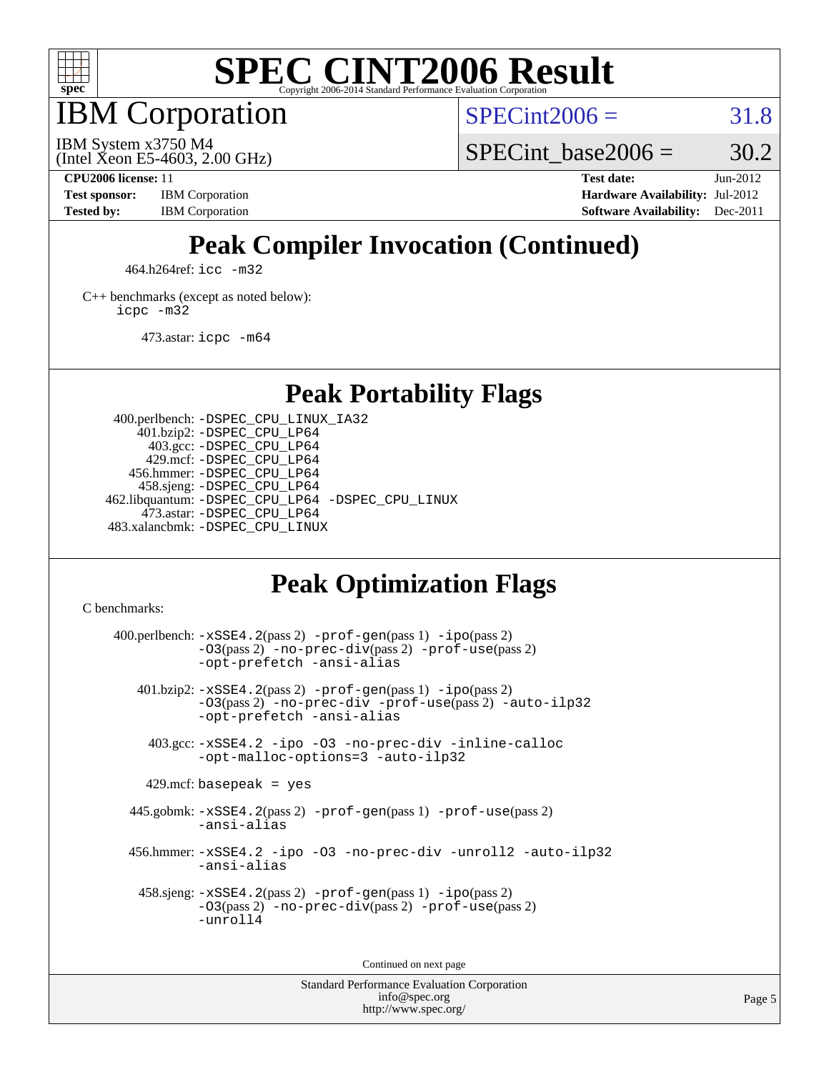

IBM Corporation

 $SPECint2006 = 31.8$  $SPECint2006 = 31.8$ 

(Intel Xeon E5-4603, 2.00 GHz) IBM System x3750 M4

SPECint base2006 =  $30.2$ 

**[CPU2006 license:](http://www.spec.org/auto/cpu2006/Docs/result-fields.html#CPU2006license)** 11 **[Test date:](http://www.spec.org/auto/cpu2006/Docs/result-fields.html#Testdate)** Jun-2012 **[Test sponsor:](http://www.spec.org/auto/cpu2006/Docs/result-fields.html#Testsponsor)** IBM Corporation **[Hardware Availability:](http://www.spec.org/auto/cpu2006/Docs/result-fields.html#HardwareAvailability)** Jul-2012 **[Tested by:](http://www.spec.org/auto/cpu2006/Docs/result-fields.html#Testedby)** IBM Corporation **[Software Availability:](http://www.spec.org/auto/cpu2006/Docs/result-fields.html#SoftwareAvailability)** Dec-2011

# **[Peak Compiler Invocation \(Continued\)](http://www.spec.org/auto/cpu2006/Docs/result-fields.html#PeakCompilerInvocation)**

464.h264ref: [icc -m32](http://www.spec.org/cpu2006/results/res2012q3/cpu2006-20120716-23712.flags.html#user_peakCCLD464_h264ref_intel_icc_a6a621f8d50482236b970c6ac5f55f93)

[C++ benchmarks \(except as noted below\):](http://www.spec.org/auto/cpu2006/Docs/result-fields.html#CXXbenchmarksexceptasnotedbelow) [icpc -m32](http://www.spec.org/cpu2006/results/res2012q3/cpu2006-20120716-23712.flags.html#user_CXXpeak_intel_icpc_4e5a5ef1a53fd332b3c49e69c3330699)

473.astar: [icpc -m64](http://www.spec.org/cpu2006/results/res2012q3/cpu2006-20120716-23712.flags.html#user_peakCXXLD473_astar_intel_icpc_64bit_fc66a5337ce925472a5c54ad6a0de310)

**[Peak Portability Flags](http://www.spec.org/auto/cpu2006/Docs/result-fields.html#PeakPortabilityFlags)**

 400.perlbench: [-DSPEC\\_CPU\\_LINUX\\_IA32](http://www.spec.org/cpu2006/results/res2012q3/cpu2006-20120716-23712.flags.html#b400.perlbench_peakCPORTABILITY_DSPEC_CPU_LINUX_IA32) 401.bzip2: [-DSPEC\\_CPU\\_LP64](http://www.spec.org/cpu2006/results/res2012q3/cpu2006-20120716-23712.flags.html#suite_peakPORTABILITY401_bzip2_DSPEC_CPU_LP64) 403.gcc: [-DSPEC\\_CPU\\_LP64](http://www.spec.org/cpu2006/results/res2012q3/cpu2006-20120716-23712.flags.html#suite_peakPORTABILITY403_gcc_DSPEC_CPU_LP64) 429.mcf: [-DSPEC\\_CPU\\_LP64](http://www.spec.org/cpu2006/results/res2012q3/cpu2006-20120716-23712.flags.html#suite_peakPORTABILITY429_mcf_DSPEC_CPU_LP64) 456.hmmer: [-DSPEC\\_CPU\\_LP64](http://www.spec.org/cpu2006/results/res2012q3/cpu2006-20120716-23712.flags.html#suite_peakPORTABILITY456_hmmer_DSPEC_CPU_LP64) 458.sjeng: [-DSPEC\\_CPU\\_LP64](http://www.spec.org/cpu2006/results/res2012q3/cpu2006-20120716-23712.flags.html#suite_peakPORTABILITY458_sjeng_DSPEC_CPU_LP64) 462.libquantum: [-DSPEC\\_CPU\\_LP64](http://www.spec.org/cpu2006/results/res2012q3/cpu2006-20120716-23712.flags.html#suite_peakPORTABILITY462_libquantum_DSPEC_CPU_LP64) [-DSPEC\\_CPU\\_LINUX](http://www.spec.org/cpu2006/results/res2012q3/cpu2006-20120716-23712.flags.html#b462.libquantum_peakCPORTABILITY_DSPEC_CPU_LINUX) 473.astar: [-DSPEC\\_CPU\\_LP64](http://www.spec.org/cpu2006/results/res2012q3/cpu2006-20120716-23712.flags.html#suite_peakPORTABILITY473_astar_DSPEC_CPU_LP64) 483.xalancbmk: [-DSPEC\\_CPU\\_LINUX](http://www.spec.org/cpu2006/results/res2012q3/cpu2006-20120716-23712.flags.html#b483.xalancbmk_peakCXXPORTABILITY_DSPEC_CPU_LINUX)

# **[Peak Optimization Flags](http://www.spec.org/auto/cpu2006/Docs/result-fields.html#PeakOptimizationFlags)**

[C benchmarks](http://www.spec.org/auto/cpu2006/Docs/result-fields.html#Cbenchmarks):

 $400.$ perlbench:  $-xSSE4$ .  $2(pass 2)$  -prof-qen(pass 1) [-ipo](http://www.spec.org/cpu2006/results/res2012q3/cpu2006-20120716-23712.flags.html#user_peakPASS2_CFLAGSPASS2_LDCFLAGS400_perlbench_f-ipo)(pass 2) [-O3](http://www.spec.org/cpu2006/results/res2012q3/cpu2006-20120716-23712.flags.html#user_peakPASS2_CFLAGSPASS2_LDCFLAGS400_perlbench_f-O3)(pass 2) [-no-prec-div](http://www.spec.org/cpu2006/results/res2012q3/cpu2006-20120716-23712.flags.html#user_peakPASS2_CFLAGSPASS2_LDCFLAGS400_perlbench_f-no-prec-div)(pass 2) [-prof-use](http://www.spec.org/cpu2006/results/res2012q3/cpu2006-20120716-23712.flags.html#user_peakPASS2_CFLAGSPASS2_LDCFLAGS400_perlbench_prof_use_bccf7792157ff70d64e32fe3e1250b55)(pass 2) [-opt-prefetch](http://www.spec.org/cpu2006/results/res2012q3/cpu2006-20120716-23712.flags.html#user_peakCOPTIMIZE400_perlbench_f-opt-prefetch) [-ansi-alias](http://www.spec.org/cpu2006/results/res2012q3/cpu2006-20120716-23712.flags.html#user_peakCOPTIMIZE400_perlbench_f-ansi-alias) 401.bzip2: [-xSSE4.2](http://www.spec.org/cpu2006/results/res2012q3/cpu2006-20120716-23712.flags.html#user_peakPASS2_CFLAGSPASS2_LDCFLAGS401_bzip2_f-xSSE42_f91528193cf0b216347adb8b939d4107)(pass 2) [-prof-gen](http://www.spec.org/cpu2006/results/res2012q3/cpu2006-20120716-23712.flags.html#user_peakPASS1_CFLAGSPASS1_LDCFLAGS401_bzip2_prof_gen_e43856698f6ca7b7e442dfd80e94a8fc)(pass 1) [-ipo](http://www.spec.org/cpu2006/results/res2012q3/cpu2006-20120716-23712.flags.html#user_peakPASS2_CFLAGSPASS2_LDCFLAGS401_bzip2_f-ipo)(pass 2) [-O3](http://www.spec.org/cpu2006/results/res2012q3/cpu2006-20120716-23712.flags.html#user_peakPASS2_CFLAGSPASS2_LDCFLAGS401_bzip2_f-O3)(pass 2) [-no-prec-div](http://www.spec.org/cpu2006/results/res2012q3/cpu2006-20120716-23712.flags.html#user_peakCOPTIMIZEPASS2_CFLAGSPASS2_LDCFLAGS401_bzip2_f-no-prec-div) [-prof-use](http://www.spec.org/cpu2006/results/res2012q3/cpu2006-20120716-23712.flags.html#user_peakPASS2_CFLAGSPASS2_LDCFLAGS401_bzip2_prof_use_bccf7792157ff70d64e32fe3e1250b55)(pass 2) [-auto-ilp32](http://www.spec.org/cpu2006/results/res2012q3/cpu2006-20120716-23712.flags.html#user_peakCOPTIMIZE401_bzip2_f-auto-ilp32) [-opt-prefetch](http://www.spec.org/cpu2006/results/res2012q3/cpu2006-20120716-23712.flags.html#user_peakCOPTIMIZE401_bzip2_f-opt-prefetch) [-ansi-alias](http://www.spec.org/cpu2006/results/res2012q3/cpu2006-20120716-23712.flags.html#user_peakCOPTIMIZE401_bzip2_f-ansi-alias) 403.gcc: [-xSSE4.2](http://www.spec.org/cpu2006/results/res2012q3/cpu2006-20120716-23712.flags.html#user_peakCOPTIMIZE403_gcc_f-xSSE42_f91528193cf0b216347adb8b939d4107) [-ipo](http://www.spec.org/cpu2006/results/res2012q3/cpu2006-20120716-23712.flags.html#user_peakCOPTIMIZE403_gcc_f-ipo) [-O3](http://www.spec.org/cpu2006/results/res2012q3/cpu2006-20120716-23712.flags.html#user_peakCOPTIMIZE403_gcc_f-O3) [-no-prec-div](http://www.spec.org/cpu2006/results/res2012q3/cpu2006-20120716-23712.flags.html#user_peakCOPTIMIZE403_gcc_f-no-prec-div) [-inline-calloc](http://www.spec.org/cpu2006/results/res2012q3/cpu2006-20120716-23712.flags.html#user_peakCOPTIMIZE403_gcc_f-inline-calloc) [-opt-malloc-options=3](http://www.spec.org/cpu2006/results/res2012q3/cpu2006-20120716-23712.flags.html#user_peakCOPTIMIZE403_gcc_f-opt-malloc-options_13ab9b803cf986b4ee62f0a5998c2238) [-auto-ilp32](http://www.spec.org/cpu2006/results/res2012q3/cpu2006-20120716-23712.flags.html#user_peakCOPTIMIZE403_gcc_f-auto-ilp32)  $429$ .mcf: basepeak = yes 445.gobmk: [-xSSE4.2](http://www.spec.org/cpu2006/results/res2012q3/cpu2006-20120716-23712.flags.html#user_peakPASS2_CFLAGSPASS2_LDCFLAGS445_gobmk_f-xSSE42_f91528193cf0b216347adb8b939d4107)(pass 2) [-prof-gen](http://www.spec.org/cpu2006/results/res2012q3/cpu2006-20120716-23712.flags.html#user_peakPASS1_CFLAGSPASS1_LDCFLAGS445_gobmk_prof_gen_e43856698f6ca7b7e442dfd80e94a8fc)(pass 1) [-prof-use](http://www.spec.org/cpu2006/results/res2012q3/cpu2006-20120716-23712.flags.html#user_peakPASS2_CFLAGSPASS2_LDCFLAGS445_gobmk_prof_use_bccf7792157ff70d64e32fe3e1250b55)(pass 2) [-ansi-alias](http://www.spec.org/cpu2006/results/res2012q3/cpu2006-20120716-23712.flags.html#user_peakCOPTIMIZE445_gobmk_f-ansi-alias) 456.hmmer: [-xSSE4.2](http://www.spec.org/cpu2006/results/res2012q3/cpu2006-20120716-23712.flags.html#user_peakCOPTIMIZE456_hmmer_f-xSSE42_f91528193cf0b216347adb8b939d4107) [-ipo](http://www.spec.org/cpu2006/results/res2012q3/cpu2006-20120716-23712.flags.html#user_peakCOPTIMIZE456_hmmer_f-ipo) [-O3](http://www.spec.org/cpu2006/results/res2012q3/cpu2006-20120716-23712.flags.html#user_peakCOPTIMIZE456_hmmer_f-O3) [-no-prec-div](http://www.spec.org/cpu2006/results/res2012q3/cpu2006-20120716-23712.flags.html#user_peakCOPTIMIZE456_hmmer_f-no-prec-div) [-unroll2](http://www.spec.org/cpu2006/results/res2012q3/cpu2006-20120716-23712.flags.html#user_peakCOPTIMIZE456_hmmer_f-unroll_784dae83bebfb236979b41d2422d7ec2) [-auto-ilp32](http://www.spec.org/cpu2006/results/res2012q3/cpu2006-20120716-23712.flags.html#user_peakCOPTIMIZE456_hmmer_f-auto-ilp32) [-ansi-alias](http://www.spec.org/cpu2006/results/res2012q3/cpu2006-20120716-23712.flags.html#user_peakCOPTIMIZE456_hmmer_f-ansi-alias) 458.sjeng: [-xSSE4.2](http://www.spec.org/cpu2006/results/res2012q3/cpu2006-20120716-23712.flags.html#user_peakPASS2_CFLAGSPASS2_LDCFLAGS458_sjeng_f-xSSE42_f91528193cf0b216347adb8b939d4107)(pass 2) [-prof-gen](http://www.spec.org/cpu2006/results/res2012q3/cpu2006-20120716-23712.flags.html#user_peakPASS1_CFLAGSPASS1_LDCFLAGS458_sjeng_prof_gen_e43856698f6ca7b7e442dfd80e94a8fc)(pass 1) [-ipo](http://www.spec.org/cpu2006/results/res2012q3/cpu2006-20120716-23712.flags.html#user_peakPASS2_CFLAGSPASS2_LDCFLAGS458_sjeng_f-ipo)(pass 2) [-O3](http://www.spec.org/cpu2006/results/res2012q3/cpu2006-20120716-23712.flags.html#user_peakPASS2_CFLAGSPASS2_LDCFLAGS458_sjeng_f-O3)(pass 2) [-no-prec-div](http://www.spec.org/cpu2006/results/res2012q3/cpu2006-20120716-23712.flags.html#user_peakPASS2_CFLAGSPASS2_LDCFLAGS458_sjeng_f-no-prec-div)(pass 2) [-prof-use](http://www.spec.org/cpu2006/results/res2012q3/cpu2006-20120716-23712.flags.html#user_peakPASS2_CFLAGSPASS2_LDCFLAGS458_sjeng_prof_use_bccf7792157ff70d64e32fe3e1250b55)(pass 2) [-unroll4](http://www.spec.org/cpu2006/results/res2012q3/cpu2006-20120716-23712.flags.html#user_peakCOPTIMIZE458_sjeng_f-unroll_4e5e4ed65b7fd20bdcd365bec371b81f)

Continued on next page